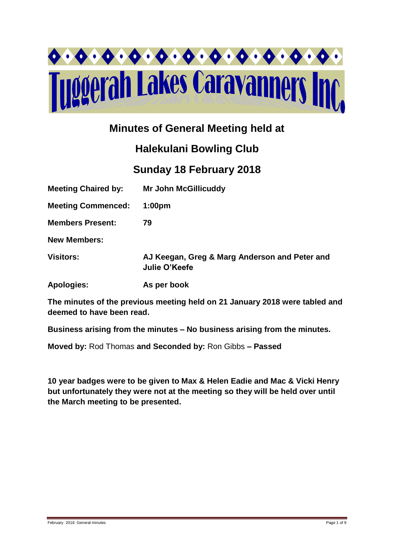

# **Minutes of General Meeting held at**

# **Halekulani Bowling Club**

# **Sunday 18 February 2018**

| <b>Meeting Chaired by:</b> | <b>Mr John McGillicuddy</b>                                    |
|----------------------------|----------------------------------------------------------------|
| <b>Meeting Commenced:</b>  | 1:00 <sub>pm</sub>                                             |
| <b>Members Present:</b>    | 79                                                             |
| <b>New Members:</b>        |                                                                |
| <b>Visitors:</b>           | AJ Keegan, Greg & Marg Anderson and Peter and<br>Julie O'Keefe |
| <b>Apologies:</b>          | As per book                                                    |

**The minutes of the previous meeting held on 21 January 2018 were tabled and deemed to have been read.**

**Business arising from the minutes – No business arising from the minutes.**

**Moved by:** Rod Thomas **and Seconded by:** Ron Gibbs **– Passed** 

**10 year badges were to be given to Max & Helen Eadie and Mac & Vicki Henry but unfortunately they were not at the meeting so they will be held over until the March meeting to be presented.**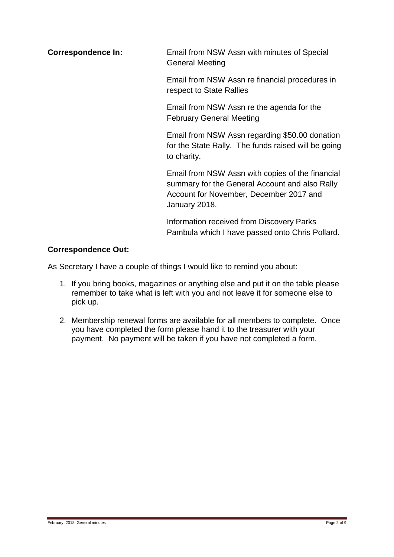**Correspondence In:** Email from NSW Assn with minutes of Special General Meeting

> Email from NSW Assn re financial procedures in respect to State Rallies

Email from NSW Assn re the agenda for the February General Meeting

Email from NSW Assn regarding \$50.00 donation for the State Rally. The funds raised will be going to charity.

Email from NSW Assn with copies of the financial summary for the General Account and also Rally Account for November, December 2017 and January 2018.

Information received from Discovery Parks Pambula which I have passed onto Chris Pollard.

## **Correspondence Out:**

As Secretary I have a couple of things I would like to remind you about:

- 1. If you bring books, magazines or anything else and put it on the table please remember to take what is left with you and not leave it for someone else to pick up.
- 2. Membership renewal forms are available for all members to complete. Once you have completed the form please hand it to the treasurer with your payment. No payment will be taken if you have not completed a form.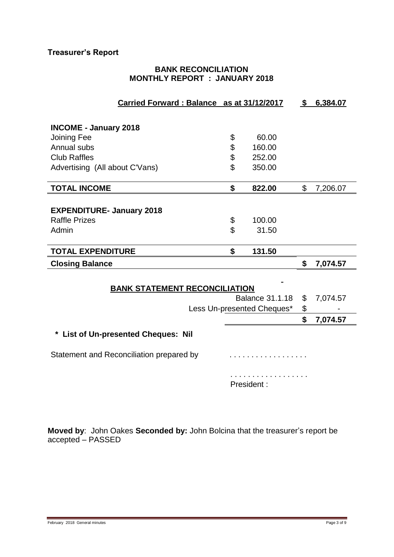# **Treasurer's Report**

## **BANK RECONCILIATION MONTHLY REPORT : JANUARY 2018**

| Carried Forward: Balance as at 31/12/2017                      |  |    |                            | \$<br>6,384.07 |
|----------------------------------------------------------------|--|----|----------------------------|----------------|
|                                                                |  |    |                            |                |
| <b>INCOME - January 2018</b>                                   |  |    |                            |                |
| Joining Fee                                                    |  | \$ | 60.00                      |                |
| Annual subs                                                    |  | \$ | 160.00                     |                |
| <b>Club Raffles</b>                                            |  | \$ | 252.00                     |                |
|                                                                |  | \$ |                            |                |
| Advertising (All about C'Vans)                                 |  |    | 350.00                     |                |
| <b>TOTAL INCOME</b>                                            |  | \$ | 822.00                     | \$<br>7,206.07 |
|                                                                |  |    |                            |                |
| <b>EXPENDITURE- January 2018</b>                               |  |    |                            |                |
| <b>Raffle Prizes</b>                                           |  | \$ | 100.00                     |                |
| Admin                                                          |  | \$ | 31.50                      |                |
|                                                                |  |    |                            |                |
| <b>TOTAL EXPENDITURE</b>                                       |  | \$ | 131.50                     |                |
| <b>Closing Balance</b>                                         |  |    |                            | \$<br>7,074.57 |
|                                                                |  |    |                            |                |
|                                                                |  |    |                            |                |
| <b>BANK STATEMENT RECONCILIATION</b><br><b>Balance 31.1.18</b> |  |    | \$<br>7,074.57             |                |
|                                                                |  |    | Less Un-presented Cheques* | \$             |
|                                                                |  |    |                            | \$             |
|                                                                |  |    |                            | 7,074.57       |
| * List of Un-presented Cheques: Nil                            |  |    |                            |                |
| Statement and Reconciliation prepared by                       |  |    | .                          |                |
|                                                                |  |    |                            |                |
|                                                                |  |    | .                          |                |
|                                                                |  |    | President:                 |                |
|                                                                |  |    |                            |                |

**Moved by**: John Oakes **Seconded by:** John Bolcina that the treasurer's report be accepted – PASSED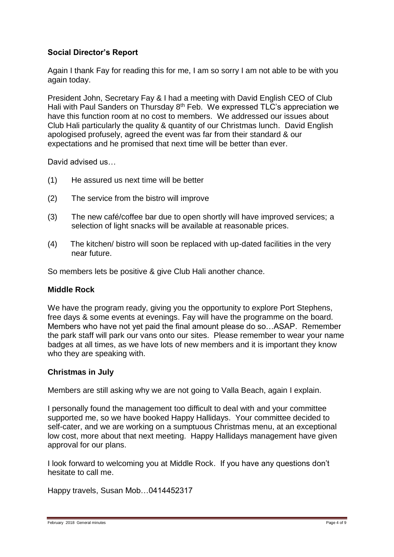### **Social Director's Report**

Again I thank Fay for reading this for me, I am so sorry I am not able to be with you again today.

President John, Secretary Fay & I had a meeting with David English CEO of Club Hali with Paul Sanders on Thursday 8th Feb. We expressed TLC's appreciation we have this function room at no cost to members. We addressed our issues about Club Hali particularly the quality & quantity of our Christmas lunch. David English apologised profusely, agreed the event was far from their standard & our expectations and he promised that next time will be better than ever.

David advised us

- (1) He assured us next time will be better
- (2) The service from the bistro will improve
- (3) The new café/coffee bar due to open shortly will have improved services; a selection of light snacks will be available at reasonable prices.
- (4) The kitchen/ bistro will soon be replaced with up-dated facilities in the very near future.

So members lets be positive & give Club Hali another chance.

#### **Middle Rock**

We have the program ready, giving you the opportunity to explore Port Stephens, free days & some events at evenings. Fay will have the programme on the board. Members who have not yet paid the final amount please do so…ASAP. Remember the park staff will park our vans onto our sites. Please remember to wear your name badges at all times, as we have lots of new members and it is important they know who they are speaking with.

#### **Christmas in July**

Members are still asking why we are not going to Valla Beach, again I explain.

I personally found the management too difficult to deal with and your committee supported me, so we have booked Happy Hallidays. Your committee decided to self-cater, and we are working on a sumptuous Christmas menu, at an exceptional low cost, more about that next meeting. Happy Hallidays management have given approval for our plans.

I look forward to welcoming you at Middle Rock. If you have any questions don't hesitate to call me.

Happy travels, Susan Mob…0414452317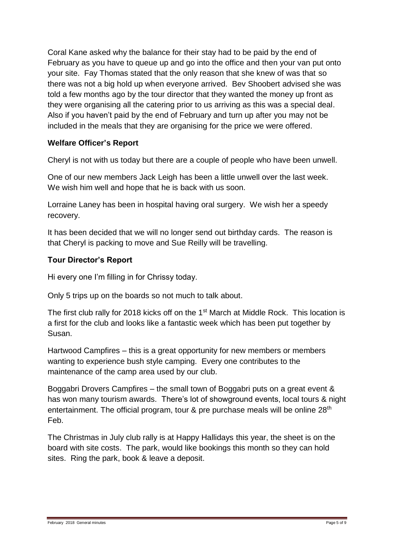Coral Kane asked why the balance for their stay had to be paid by the end of February as you have to queue up and go into the office and then your van put onto your site. Fay Thomas stated that the only reason that she knew of was that so there was not a big hold up when everyone arrived. Bev Shoobert advised she was told a few months ago by the tour director that they wanted the money up front as they were organising all the catering prior to us arriving as this was a special deal. Also if you haven't paid by the end of February and turn up after you may not be included in the meals that they are organising for the price we were offered.

#### **Welfare Officer's Report**

Cheryl is not with us today but there are a couple of people who have been unwell.

One of our new members Jack Leigh has been a little unwell over the last week. We wish him well and hope that he is back with us soon.

Lorraine Laney has been in hospital having oral surgery. We wish her a speedy recovery.

It has been decided that we will no longer send out birthday cards. The reason is that Cheryl is packing to move and Sue Reilly will be travelling.

### **Tour Director's Report**

Hi every one I'm filling in for Chrissy today.

Only 5 trips up on the boards so not much to talk about.

The first club rally for 2018 kicks off on the 1<sup>st</sup> March at Middle Rock. This location is a first for the club and looks like a fantastic week which has been put together by Susan.

Hartwood Campfires – this is a great opportunity for new members or members wanting to experience bush style camping. Every one contributes to the maintenance of the camp area used by our club.

Boggabri Drovers Campfires – the small town of Boggabri puts on a great event & has won many tourism awards. There's lot of showground events, local tours & night entertainment. The official program, tour & pre purchase meals will be online 28<sup>th</sup> Feb.

The Christmas in July club rally is at Happy Hallidays this year, the sheet is on the board with site costs. The park, would like bookings this month so they can hold sites. Ring the park, book & leave a deposit.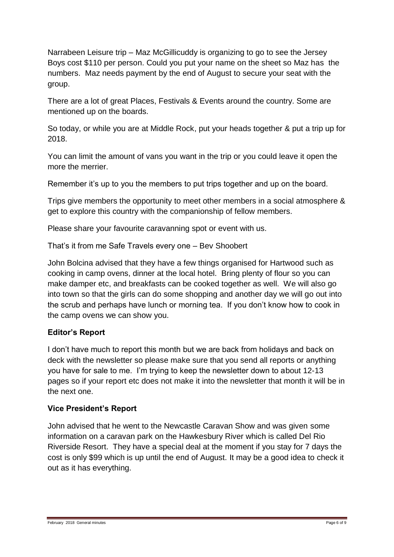Narrabeen Leisure trip – Maz McGillicuddy is organizing to go to see the Jersey Boys cost \$110 per person. Could you put your name on the sheet so Maz has the numbers. Maz needs payment by the end of August to secure your seat with the group.

There are a lot of great Places, Festivals & Events around the country. Some are mentioned up on the boards.

So today, or while you are at Middle Rock, put your heads together & put a trip up for 2018.

You can limit the amount of vans you want in the trip or you could leave it open the more the merrier.

Remember it's up to you the members to put trips together and up on the board.

Trips give members the opportunity to meet other members in a social atmosphere & get to explore this country with the companionship of fellow members.

Please share your favourite caravanning spot or event with us.

That's it from me Safe Travels every one – Bev Shoobert

John Bolcina advised that they have a few things organised for Hartwood such as cooking in camp ovens, dinner at the local hotel. Bring plenty of flour so you can make damper etc, and breakfasts can be cooked together as well. We will also go into town so that the girls can do some shopping and another day we will go out into the scrub and perhaps have lunch or morning tea. If you don't know how to cook in the camp ovens we can show you.

## **Editor's Report**

I don't have much to report this month but we are back from holidays and back on deck with the newsletter so please make sure that you send all reports or anything you have for sale to me. I'm trying to keep the newsletter down to about 12-13 pages so if your report etc does not make it into the newsletter that month it will be in the next one.

## **Vice President's Report**

John advised that he went to the Newcastle Caravan Show and was given some information on a caravan park on the Hawkesbury River which is called Del Rio Riverside Resort. They have a special deal at the moment if you stay for 7 days the cost is only \$99 which is up until the end of August. It may be a good idea to check it out as it has everything.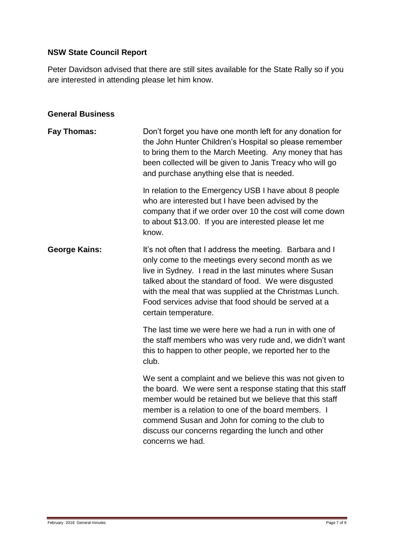# **NSW State Council Report**

Peter Davidson advised that there are still sites available for the State Rally so if you are interested in attending please let him know.

#### **General Business**

| <b>Fay Thomas:</b>   | Don't forget you have one month left for any donation for<br>the John Hunter Children's Hospital so please remember<br>to bring them to the March Meeting. Any money that has<br>been collected will be given to Janis Treacy who will go<br>and purchase anything else that is needed.                                                                                     |
|----------------------|-----------------------------------------------------------------------------------------------------------------------------------------------------------------------------------------------------------------------------------------------------------------------------------------------------------------------------------------------------------------------------|
|                      | In relation to the Emergency USB I have about 8 people<br>who are interested but I have been advised by the<br>company that if we order over 10 the cost will come down<br>to about \$13.00. If you are interested please let me<br>know.                                                                                                                                   |
| <b>George Kains:</b> | It's not often that I address the meeting. Barbara and I<br>only come to the meetings every second month as we<br>live in Sydney. I read in the last minutes where Susan<br>talked about the standard of food. We were disgusted<br>with the meal that was supplied at the Christmas Lunch.<br>Food services advise that food should be served at a<br>certain temperature. |
|                      | The last time we were here we had a run in with one of<br>the staff members who was very rude and, we didn't want<br>this to happen to other people, we reported her to the<br>club.                                                                                                                                                                                        |
|                      | We sent a complaint and we believe this was not given to<br>the board. We were sent a response stating that this staff<br>member would be retained but we believe that this staff<br>member is a relation to one of the board members. I<br>commend Susan and John for coming to the club to<br>discuss our concerns regarding the lunch and other<br>concerns we had.      |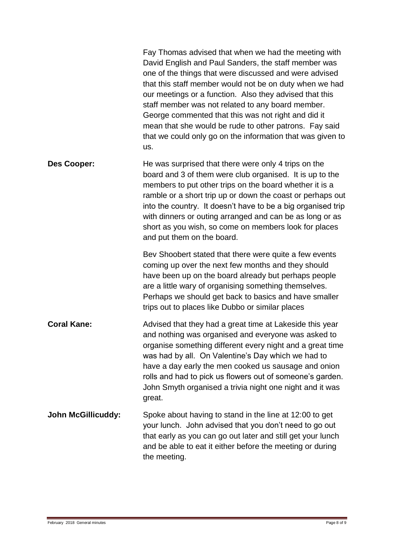|                           | Fay Thomas advised that when we had the meeting with<br>David English and Paul Sanders, the staff member was<br>one of the things that were discussed and were advised<br>that this staff member would not be on duty when we had<br>our meetings or a function. Also they advised that this<br>staff member was not related to any board member.<br>George commented that this was not right and did it<br>mean that she would be rude to other patrons. Fay said<br>that we could only go on the information that was given to<br>us. |
|---------------------------|-----------------------------------------------------------------------------------------------------------------------------------------------------------------------------------------------------------------------------------------------------------------------------------------------------------------------------------------------------------------------------------------------------------------------------------------------------------------------------------------------------------------------------------------|
| Des Cooper:               | He was surprised that there were only 4 trips on the<br>board and 3 of them were club organised. It is up to the<br>members to put other trips on the board whether it is a<br>ramble or a short trip up or down the coast or perhaps out<br>into the country. It doesn't have to be a big organised trip<br>with dinners or outing arranged and can be as long or as<br>short as you wish, so come on members look for places<br>and put them on the board.                                                                            |
|                           | Bev Shoobert stated that there were quite a few events<br>coming up over the next few months and they should<br>have been up on the board already but perhaps people<br>are a little wary of organising something themselves.<br>Perhaps we should get back to basics and have smaller<br>trips out to places like Dubbo or similar places                                                                                                                                                                                              |
| <b>Coral Kane:</b>        | Advised that they had a great time at Lakeside this year<br>and nothing was organised and everyone was asked to<br>organise something different every night and a great time<br>was had by all. On Valentine's Day which we had to<br>have a day early the men cooked us sausage and onion<br>rolls and had to pick us flowers out of someone's garden.<br>John Smyth organised a trivia night one night and it was<br>great.                                                                                                           |
| <b>John McGillicuddy:</b> | Spoke about having to stand in the line at 12:00 to get<br>your lunch. John advised that you don't need to go out<br>that early as you can go out later and still get your lunch<br>and be able to eat it either before the meeting or during<br>the meeting.                                                                                                                                                                                                                                                                           |